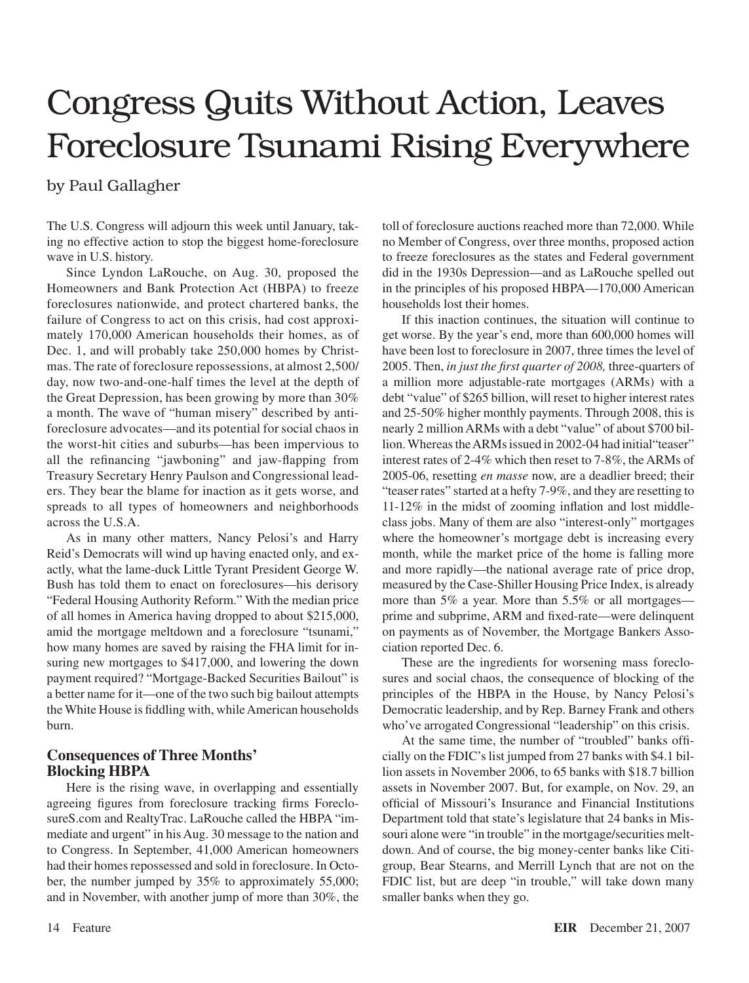# Congress Quits Without Action, Leaves Foreclosure Tsunami Rising Everywhere

## by Paul Gallagher

The U.S. Congress will adjourn this week until January, taking no effective action to stop the biggest home-foreclosure wave in U.S. history.

Since Lyndon LaRouche, on Aug. 30, proposed the Homeowners and Bank Protection Act (HBPA) to freeze foreclosures nationwide, and protect chartered banks, the failure of Congress to act on this crisis, had cost approximately 170,000 American households their homes, as of Dec. 1, and will probably take 250,000 homes by Christmas. The rate of foreclosure repossessions, at almost 2,500/ day, now two-and-one-half times the level at the depth of the Great Depression, has been growing by more than 30% a month. The wave of "human misery" described by antiforeclosure advocates—and its potential for social chaos in the worst-hit cities and suburbs—has been impervious to all the refinancing "jawboning" and jaw-flapping from Treasury Secretary Henry Paulson and Congressional leaders. They bear the blame for inaction as it gets worse, and spreads to all types of homeowners and neighborhoods across the U.S.A.

As in many other matters, Nancy Pelosi's and Harry Reid's Democrats will wind up having enacted only, and exactly, what the lame-duck Little Tyrant President George W. Bush has told them to enact on foreclosures—his derisory "Federal Housing Authority Reform." With the median price of all homes in America having dropped to about \$215,000, amid the mortgage meltdown and a foreclosure "tsunami," how many homes are saved by raising the FHA limit for insuring new mortgages to \$417,000, and lowering the down payment required? "Mortgage-Backed Securities Bailout" is a better name for it—one of the two such big bailout attempts the White House is fiddling with, while American households burn.

### **Consequences of Three Months' Blocking HBPA**

Here is the rising wave, in overlapping and essentially agreeing figures from foreclosure tracking firms ForeclosureS.com and RealtyTrac. LaRouche called the HBPA "immediate and urgent" in his Aug. 30 message to the nation and to Congress. In September, 41,000 American homeowners had their homes repossessed and sold in foreclosure. In October, the number jumped by 35% to approximately 55,000; and in November, with another jump of more than 30%, the toll of foreclosure auctions reached more than 72,000. While no Member of Congress, over three months, proposed action to freeze foreclosures as the states and Federal government did in the 1930s Depression—and as LaRouche spelled out in the principles of his proposed HBPA—170,000 American households lost their homes.

If this inaction continues, the situation will continue to get worse. By the year's end, more than 600,000 homes will have been lost to foreclosure in 2007, three times the level of 2005. Then, *in just the first quarter of 2008,* three-quarters of a million more adjustable-rate mortgages (ARMs) with a debt "value" of \$265 billion, will reset to higher interest rates and 25-50% higher monthly payments. Through 2008, this is nearly 2 million ARMs with a debt "value" of about \$700 billion. Whereas the ARMs issued in 2002-04 had initial"teaser" interest rates of 2-4% which then reset to 7-8%, the ARMs of 2005-06, resetting *en masse* now, are a deadlier breed; their "teaser rates" started at a hefty 7-9%, and they are resetting to 11-12% in the midst of zooming inflation and lost middleclass jobs. Many of them are also "interest-only" mortgages where the homeowner's mortgage debt is increasing every month, while the market price of the home is falling more and more rapidly—the national average rate of price drop, measured by the Case-Shiller Housing Price Index, is already more than 5% a year. More than 5.5% or all mortgages prime and subprime, ARM and fixed-rate—were delinquent on payments as of November, the Mortgage Bankers Association reported Dec. 6.

These are the ingredients for worsening mass foreclosures and social chaos, the consequence of blocking of the principles of the HBPA in the House, by Nancy Pelosi's Democratic leadership, and by Rep. Barney Frank and others who've arrogated Congressional "leadership" on this crisis.

At the same time, the number of "troubled" banks officially on the FDIC's list jumped from 27 banks with \$4.1 billion assets in November 2006, to 65 banks with \$18.7 billion assets in November 2007. But, for example, on Nov. 29, an official of Missouri's Insurance and Financial Institutions Department told that state's legislature that 24 banks in Missouri alone were "in trouble" in the mortgage/securities meltdown. And of course, the big money-center banks like Citigroup, Bear Stearns, and Merrill Lynch that are not on the FDIC list, but are deep "in trouble," will take down many smaller banks when they go.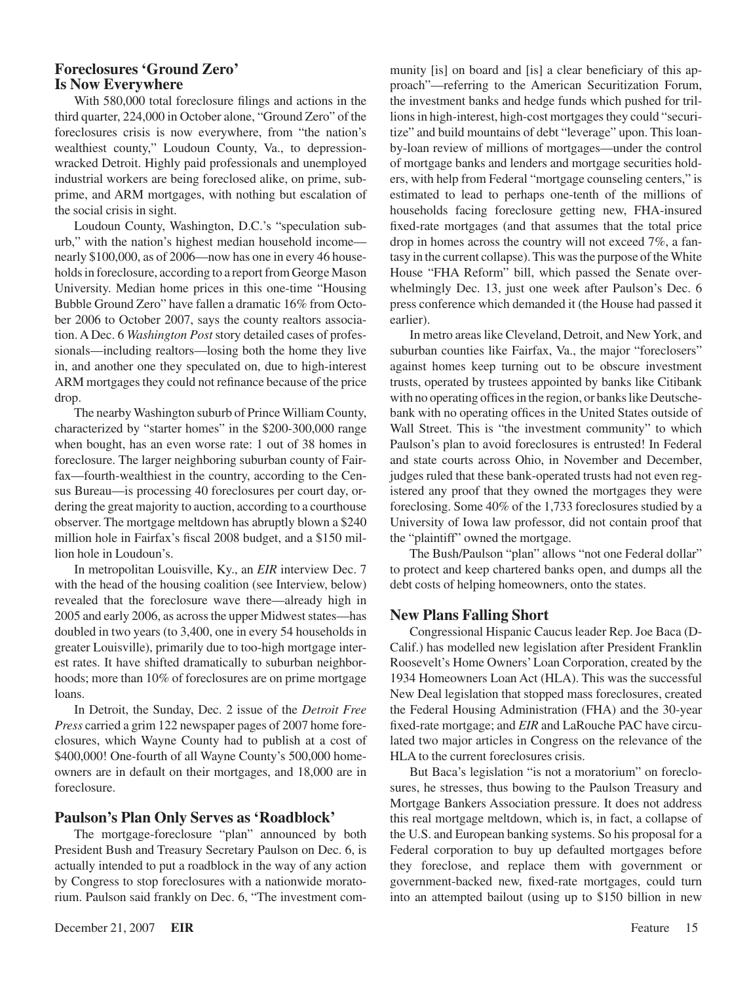#### **Foreclosures 'Ground Zero' Is Now Everywhere**

With 580,000 total foreclosure filings and actions in the third quarter, 224,000 in October alone, "Ground Zero" of the foreclosures crisis is now everywhere, from "the nation's wealthiest county," Loudoun County, Va., to depressionwracked Detroit. Highly paid professionals and unemployed industrial workers are being foreclosed alike, on prime, subprime, and ARM mortgages, with nothing but escalation of the social crisis in sight.

Loudoun County, Washington, D.C.'s "speculation suburb," with the nation's highest median household income nearly \$100,000, as of 2006—now has one in every 46 households in foreclosure, according to a report from George Mason University. Median home prices in this one-time "Housing Bubble Ground Zero" have fallen a dramatic 16% from October 2006 to October 2007, says the county realtors association. A Dec. 6 *Washington Post* story detailed cases of professionals—including realtors—losing both the home they live in, and another one they speculated on, due to high-interest ARM mortgages they could not refinance because of the price drop.

The nearby Washington suburb of Prince William County, characterized by "starter homes" in the \$200-300,000 range when bought, has an even worse rate: 1 out of 38 homes in foreclosure. The larger neighboring suburban county of Fairfax—fourth-wealthiest in the country, according to the Census Bureau—is processing 40 foreclosures per court day, ordering the great majority to auction, according to a courthouse observer. The mortgage meltdown has abruptly blown a \$240 million hole in Fairfax's fiscal 2008 budget, and a \$150 million hole in Loudoun's.

In metropolitan Louisville, Ky., an *EIR* interview Dec. 7 with the head of the housing coalition (see Interview, below) revealed that the foreclosure wave there—already high in 2005 and early 2006, as across the upper Midwest states—has doubled in two years (to 3,400, one in every 54 households in greater Louisville), primarily due to too-high mortgage interest rates. It have shifted dramatically to suburban neighborhoods; more than 10% of foreclosures are on prime mortgage loans.

In Detroit, the Sunday, Dec. 2 issue of the *Detroit Free Press* carried a grim 122 newspaper pages of 2007 home foreclosures, which Wayne County had to publish at a cost of \$400,000! One-fourth of all Wayne County's 500,000 homeowners are in default on their mortgages, and 18,000 are in foreclosure.

#### **Paulson's Plan Only Serves as 'Roadblock'**

The mortgage-foreclosure "plan" announced by both President Bush and Treasury Secretary Paulson on Dec. 6, is actually intended to put a roadblock in the way of any action by Congress to stop foreclosures with a nationwide moratorium. Paulson said frankly on Dec. 6, "The investment community [is] on board and [is] a clear beneficiary of this approach"—referring to the American Securitization Forum, the investment banks and hedge funds which pushed for trillions in high-interest, high-cost mortgages they could "securitize" and build mountains of debt "leverage" upon. This loanby-loan review of millions of mortgages—under the control of mortgage banks and lenders and mortgage securities holders, with help from Federal "mortgage counseling centers," is estimated to lead to perhaps one-tenth of the millions of households facing foreclosure getting new, FHA-insured fixed-rate mortgages (and that assumes that the total price drop in homes across the country will not exceed 7%, a fantasy in the current collapse). This was the purpose of the White House "FHA Reform" bill, which passed the Senate overwhelmingly Dec. 13, just one week after Paulson's Dec. 6 press conference which demanded it (the House had passed it earlier).

In metro areas like Cleveland, Detroit, and New York, and suburban counties like Fairfax, Va., the major "foreclosers" against homes keep turning out to be obscure investment trusts, operated by trustees appointed by banks like Citibank with no operating offices in the region, or banks like Deutschebank with no operating offices in the United States outside of Wall Street. This is "the investment community" to which Paulson's plan to avoid foreclosures is entrusted! In Federal and state courts across Ohio, in November and December, judges ruled that these bank-operated trusts had not even registered any proof that they owned the mortgages they were foreclosing. Some 40% of the 1,733 foreclosures studied by a University of Iowa law professor, did not contain proof that the "plaintiff" owned the mortgage.

The Bush/Paulson "plan" allows "not one Federal dollar" to protect and keep chartered banks open, and dumps all the debt costs of helping homeowners, onto the states.

#### **New Plans Falling Short**

Congressional Hispanic Caucus leader Rep. Joe Baca (D-Calif.) has modelled new legislation after President Franklin Roosevelt's Home Owners' Loan Corporation, created by the 1934 Homeowners Loan Act (HLA). This was the successful New Deal legislation that stopped mass foreclosures, created the Federal Housing Administration (FHA) and the 30-year fixed-rate mortgage; and *EIR* and LaRouche PAC have circulated two major articles in Congress on the relevance of the HLA to the current foreclosures crisis.

But Baca's legislation "is not a moratorium" on foreclosures, he stresses, thus bowing to the Paulson Treasury and Mortgage Bankers Association pressure. It does not address this real mortgage meltdown, which is, in fact, a collapse of the U.S. and European banking systems. So his proposal for a Federal corporation to buy up defaulted mortgages before they foreclose, and replace them with government or government-backed new, fixed-rate mortgages, could turn into an attempted bailout (using up to \$150 billion in new